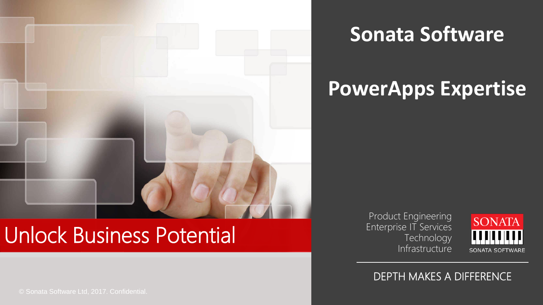

## **Sonata Software**

# **PowerApps Expertise**

# Unlock Business Potential

© Sonata Software Ltd, 2017. Confidential.

Product Engineering Enterprise IT Services **Technology** Infrastructure



#### DEPTH MAKES A DIFFERENCE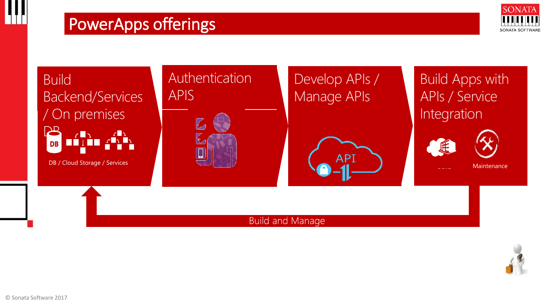

Build Backend/Services / On premises  $\mathbf{B}$  $\sqrt{2}$ **DB** 

DB / Cloud Storage / Services

### Authentication APIS



## Develop APIs / Manage APIs



Build Apps with APIs / Service Integration





Maintenance

#### **Build and Manage**

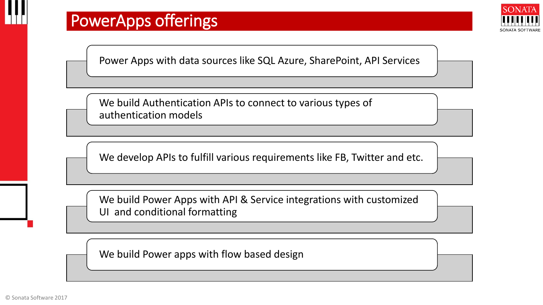## PowerApps offerings



Power Apps with data sources like SQL Azure, SharePoint, API Services

We build Authentication APIs to connect to various types of authentication models

We develop APIs to fulfill various requirements like FB, Twitter and etc.

We build Power Apps with API & Service integrations with customized UI and conditional formatting

We build Power apps with flow based design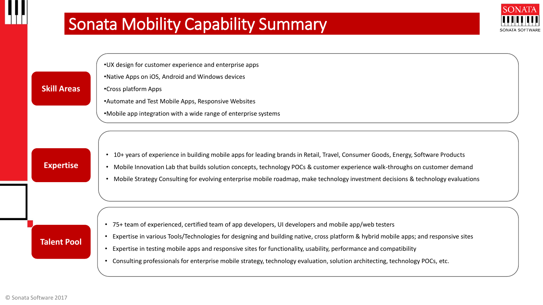## Sonata Mobility Capability Summary



•UX design for customer experience and enterprise apps

- •Native Apps on iOS, Android and Windows devices
- •Cross platform Apps
	- •Automate and Test Mobile Apps, Responsive Websites
	- •Mobile app integration with a wide range of enterprise systems

#### **Expertise**

**Skill Areas**

- 10+ years of experience in building mobile apps for leading brands in Retail, Travel, Consumer Goods, Energy, Software Products
- Mobile Innovation Lab that builds solution concepts, technology POCs & customer experience walk-throughs on customer demand
- Mobile Strategy Consulting for evolving enterprise mobile roadmap, make technology investment decisions & technology evaluations

#### • 75+ team of experienced, certified team of app developers, UI developers and mobile app/web testers

- Expertise in various Tools/Technologies for designing and building native, cross platform & hybrid mobile apps; and responsive sites
- Expertise in testing mobile apps and responsive sites for functionality, usability, performance and compatibility
- Consulting professionals for enterprise mobile strategy, technology evaluation, solution architecting, technology POCs, etc.

#### **Talent Pool**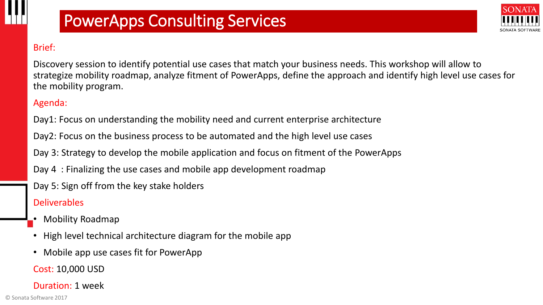## PowerApps Consulting Services



#### Brief:

Discovery session to identify potential use cases that match your business needs. This workshop will allow to strategize mobility roadmap, analyze fitment of PowerApps, define the approach and identify high level use cases for the mobility program.

#### Agenda:

Day1: Focus on understanding the mobility need and current enterprise architecture

Day2: Focus on the business process to be automated and the high level use cases

Day 3: Strategy to develop the mobile application and focus on fitment of the PowerApps

Day 4 : Finalizing the use cases and mobile app development roadmap

Day 5: Sign off from the key stake holders

#### **Deliverables**

- Mobility Roadmap
- High level technical architecture diagram for the mobile app
- Mobile app use cases fit for PowerApp

Cost: 10,000 USD

Duration: 1 week